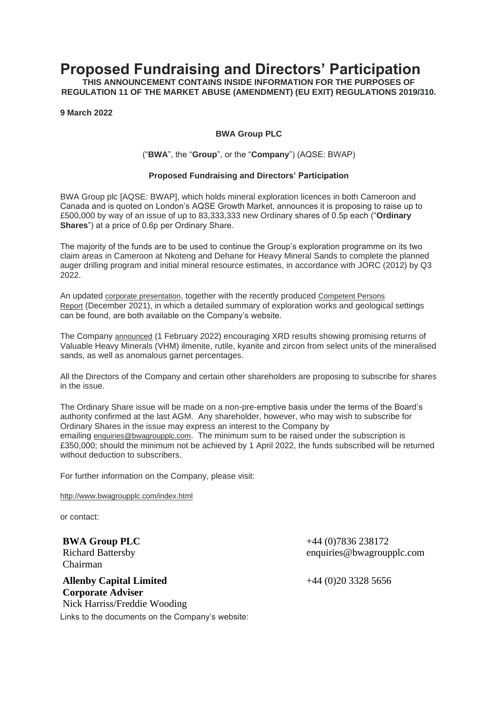## **Proposed Fundraising and Directors' Participation**

**THIS ANNOUNCEMENT CONTAINS INSIDE INFORMATION FOR THE PURPOSES OF REGULATION 11 OF THE MARKET ABUSE (AMENDMENT) (EU EXIT) REGULATIONS 2019/310.**

**9 March 2022**

## **BWA Group PLC**

## ("**BWA**", the "**Group**", or the "**Company**") (AQSE: BWAP)

## **Proposed Fundraising and Directors' Participation**

BWA Group plc [AQSE: BWAP], which holds mineral exploration licences in both Cameroon and Canada and is quoted on London's AQSE Growth Market, announces it is proposing to raise up to £500,000 by way of an issue of up to 83,333,333 new Ordinary shares of 0.5p each ("**Ordinary Shares**") at a price of 0.6p per Ordinary Share.

The majority of the funds are to be used to continue the Group's exploration programme on its two claim areas in Cameroon at Nkoteng and Dehane for Heavy Mineral Sands to complete the planned auger drilling program and initial mineral resource estimates, in accordance with JORC (2012) by Q3 2022.

An updated [corporate presentation](http://bwagroupplc.com/presentations/BWA-BWAR-PresentationFinalPdf15-2-2022.pdf), together with the recently produced [Competent Persons](http://bwagroupplc.com/documents/BWA%20Nkoteng%20%20Dehane%20CPR%20Final_20211210.pdf)  [Report](http://bwagroupplc.com/documents/BWA%20Nkoteng%20%20Dehane%20CPR%20Final_20211210.pdf) (December 2021), in which a detailed summary of exploration works and geological settings can be found, are both available on the Company's website.

The Company [announced](http://bwagroupplc.com/Announcements/01022022%20Positive%20Mineral%20Results%20for%20Nkoteng%20&%20Dehane%20Projects.pdf) (1 February 2022) encouraging XRD results showing promising returns of Valuable Heavy Minerals (VHM) ilmenite, rutile, kyanite and zircon from select units of the mineralised sands, as well as anomalous garnet percentages.

All the Directors of the Company and certain other shareholders are proposing to subscribe for shares in the issue.

The Ordinary Share issue will be made on a non-pre-emptive basis under the terms of the Board's authority confirmed at the last AGM. Any shareholder, however, who may wish to subscribe for Ordinary Shares in the issue may express an interest to the Company by emailing [enquiries@bwagroupplc.com](mailto:enquiries@bwagroupplc.com). The minimum sum to be raised under the subscription is £350,000; should the minimum not be achieved by 1 April 2022, the funds subscribed will be returned without deduction to subscribers.

For further information on the Company, please visit:

<http://www.bwagroupplc.com/index.html>

or contact:

**BWA Group PLC** Richard Battersby Chairman

**Allenby Capital Limited Corporate Adviser** Nick Harriss/Freddie Wooding Links to the documents on the Company's website: +44 (0)7836 238172 enquiries@bwagroupplc.com

+44 (0)20 3328 5656